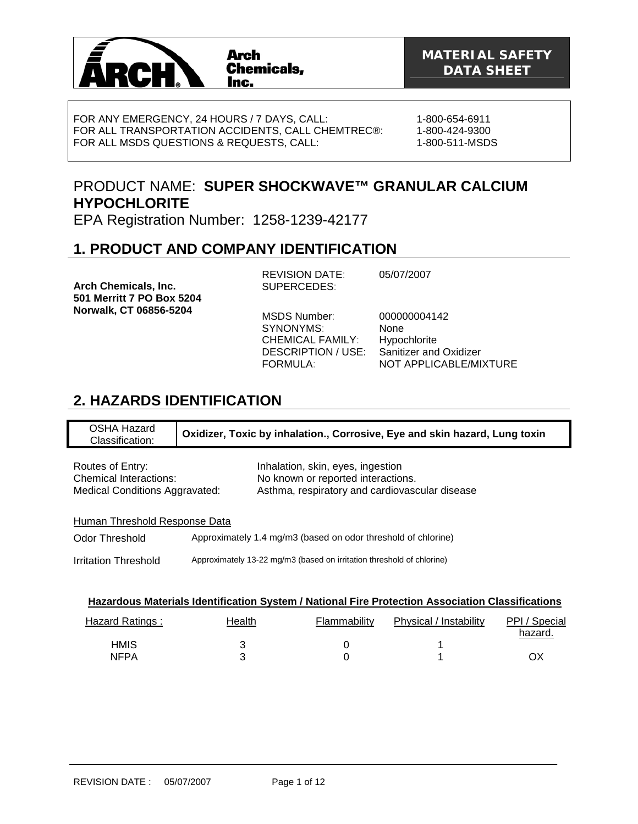

FOR ANY EMERGENCY, 24 HOURS / 7 DAYS, CALL: FOR ALL TRANSPORTATION ACCIDENTS, CALL CHEMTREC®: FOR ALL MSDS QUESTIONS & REQUESTS, CALL:

1-800-654-6911 1-800-424-9300 1-800-511-MSDS

# PRODUCT NAME: **SUPER SHOCKWAVE™ GRANULAR CALCIUM HYPOCHLORITE**

EPA Registration Number: 1258-1239-42177

## **1. PRODUCT AND COMPANY IDENTIFICATION**

**Arch Chemicals, Inc. 501 Merritt 7 PO Box 5204 Norwalk, CT 06856-5204** 

REVISION DATE: 05/07/2007 SUPERCEDES:

MSDS Number: 000000004142 SYNONYMS: None CHEMICAL FAMILY: Hypochlorite DESCRIPTION / USE: Sanitizer and Oxidizer NOT APPLICABLE/MIXTURE

## **2. HAZARDS IDENTIFICATION**

OSHA Hazard Classification: **Oxidizer, Toxic by inhalation., Corrosive, Eye and skin hazard, Lung toxin** Routes of Entry: The Inhalation, skin, eyes, ingestion Chemical Interactions: No known or reported interactions. Medical Conditions Aggravated: Asthma, respiratory and cardiovascular disease Human Threshold Response Data Odor Threshold Approximately 1.4 mg/m3 (based on odor threshold of chlorine) Irritation Threshold Approximately 13-22 mg/m3 (based on irritation threshold of chlorine)

| Hazardous Materials Identification System / National Fire Protection Association Classifications |
|--------------------------------------------------------------------------------------------------|
|--------------------------------------------------------------------------------------------------|

| Hazard Ratings:     | Health | Flammability | Physical / Instability | PPI / Special<br>hazard. |
|---------------------|--------|--------------|------------------------|--------------------------|
| <b>HMIS</b><br>NFPA |        |              |                        | OХ                       |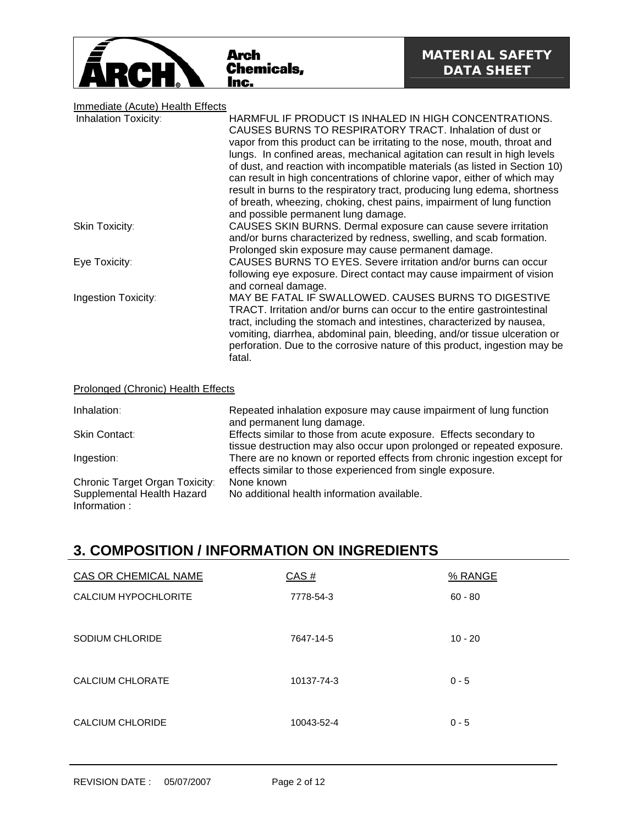

# Immediate (Acute) Health Effects

| <u>IIIIIIIeulale (Acule) neallii Eilecly</u> |                                                                                                                                                                                                                                                                                                                                                                                                                                                                                                                                                                                                                                    |
|----------------------------------------------|------------------------------------------------------------------------------------------------------------------------------------------------------------------------------------------------------------------------------------------------------------------------------------------------------------------------------------------------------------------------------------------------------------------------------------------------------------------------------------------------------------------------------------------------------------------------------------------------------------------------------------|
| Inhalation Toxicity:                         | HARMFUL IF PRODUCT IS INHALED IN HIGH CONCENTRATIONS.<br>CAUSES BURNS TO RESPIRATORY TRACT. Inhalation of dust or<br>vapor from this product can be irritating to the nose, mouth, throat and<br>lungs. In confined areas, mechanical agitation can result in high levels<br>of dust, and reaction with incompatible materials (as listed in Section 10)<br>can result in high concentrations of chlorine vapor, either of which may<br>result in burns to the respiratory tract, producing lung edema, shortness<br>of breath, wheezing, choking, chest pains, impairment of lung function<br>and possible permanent lung damage. |
| Skin Toxicity:                               | CAUSES SKIN BURNS. Dermal exposure can cause severe irritation<br>and/or burns characterized by redness, swelling, and scab formation.<br>Prolonged skin exposure may cause permanent damage.                                                                                                                                                                                                                                                                                                                                                                                                                                      |
| Eye Toxicity:                                | CAUSES BURNS TO EYES. Severe irritation and/or burns can occur<br>following eye exposure. Direct contact may cause impairment of vision<br>and corneal damage.                                                                                                                                                                                                                                                                                                                                                                                                                                                                     |
| Ingestion Toxicity:                          | MAY BE FATAL IF SWALLOWED. CAUSES BURNS TO DIGESTIVE<br>TRACT. Irritation and/or burns can occur to the entire gastrointestinal<br>tract, including the stomach and intestines, characterized by nausea,<br>vomiting, diarrhea, abdominal pain, bleeding, and/or tissue ulceration or<br>perforation. Due to the corrosive nature of this product, ingestion may be<br>fatal.                                                                                                                                                                                                                                                      |
| Prolonged (Chronic) Health Effects           |                                                                                                                                                                                                                                                                                                                                                                                                                                                                                                                                                                                                                                    |

| Inhalation:                                | Repeated inhalation exposure may cause impairment of lung function<br>and permanent lung damage.                                             |
|--------------------------------------------|----------------------------------------------------------------------------------------------------------------------------------------------|
| <b>Skin Contact:</b>                       | Effects similar to those from acute exposure. Effects secondary to<br>tissue destruction may also occur upon prolonged or repeated exposure. |
| Ingestion:                                 | There are no known or reported effects from chronic ingestion except for<br>effects similar to those experienced from single exposure.       |
| Chronic Target Organ Toxicity:             | None known                                                                                                                                   |
| Supplemental Health Hazard<br>Information: | No additional health information available.                                                                                                  |

## **3. COMPOSITION / INFORMATION ON INGREDIENTS**

| CAS OR CHEMICAL NAME | CAS#       | % RANGE   |
|----------------------|------------|-----------|
| CALCIUM HYPOCHLORITE | 7778-54-3  | $60 - 80$ |
| SODIUM CHLORIDE      | 7647-14-5  | $10 - 20$ |
| CALCIUM CHLORATE     | 10137-74-3 | $0 - 5$   |
| CALCIUM CHLORIDE     | 10043-52-4 | $0 - 5$   |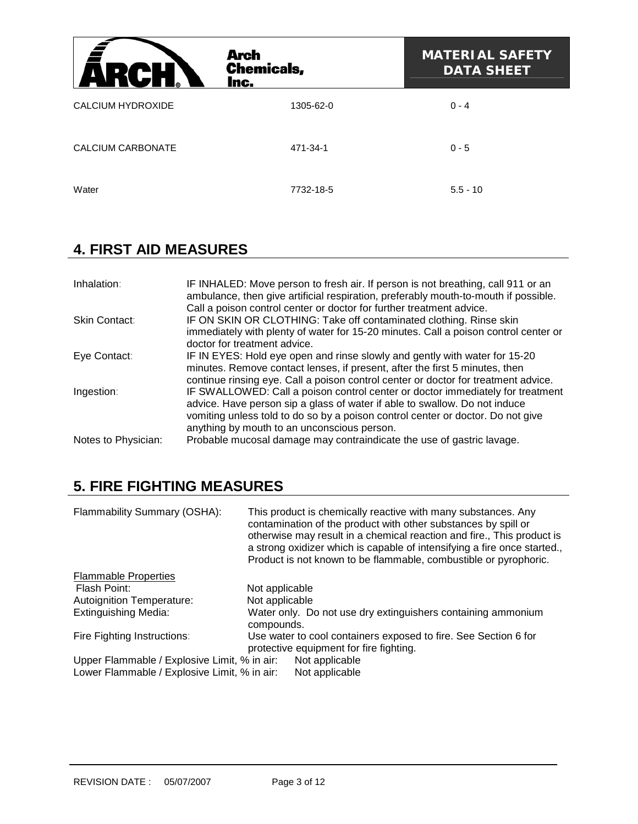| ZУ                       | <b>Arch</b><br><b>Chemicals,</b><br>Inc. | <b>MATERIAL SAFETY</b><br><b>DATA SHEET</b> |
|--------------------------|------------------------------------------|---------------------------------------------|
| <b>CALCIUM HYDROXIDE</b> | 1305-62-0                                | $0 - 4$                                     |
| <b>CALCIUM CARBONATE</b> | 471-34-1                                 | $0 - 5$                                     |
| Water                    | 7732-18-5                                | $5.5 - 10$                                  |

## **4. FIRST AID MEASURES**

| Inhalation:         | IF INHALED: Move person to fresh air. If person is not breathing, call 911 or an<br>ambulance, then give artificial respiration, preferably mouth-to-mouth if possible.                                                                                                                        |
|---------------------|------------------------------------------------------------------------------------------------------------------------------------------------------------------------------------------------------------------------------------------------------------------------------------------------|
| Skin Contact:       | Call a poison control center or doctor for further treatment advice.<br>IF ON SKIN OR CLOTHING: Take off contaminated clothing. Rinse skin<br>immediately with plenty of water for 15-20 minutes. Call a poison control center or<br>doctor for treatment advice.                              |
| Eye Contact:        | IF IN EYES: Hold eye open and rinse slowly and gently with water for 15-20<br>minutes. Remove contact lenses, if present, after the first 5 minutes, then<br>continue rinsing eye. Call a poison control center or doctor for treatment advice.                                                |
| Ingestion:          | IF SWALLOWED: Call a poison control center or doctor immediately for treatment<br>advice. Have person sip a glass of water if able to swallow. Do not induce<br>vomiting unless told to do so by a poison control center or doctor. Do not give<br>anything by mouth to an unconscious person. |
| Notes to Physician: | Probable mucosal damage may contraindicate the use of gastric lavage.                                                                                                                                                                                                                          |

# **5. FIRE FIGHTING MEASURES**

| Flammability Summary (OSHA):                                                                 | This product is chemically reactive with many substances. Any<br>contamination of the product with other substances by spill or<br>otherwise may result in a chemical reaction and fire., This product is<br>a strong oxidizer which is capable of intensifying a fire once started.,<br>Product is not known to be flammable, combustible or pyrophoric. |
|----------------------------------------------------------------------------------------------|-----------------------------------------------------------------------------------------------------------------------------------------------------------------------------------------------------------------------------------------------------------------------------------------------------------------------------------------------------------|
| <b>Flammable Properties</b>                                                                  |                                                                                                                                                                                                                                                                                                                                                           |
| Flash Point:                                                                                 | Not applicable                                                                                                                                                                                                                                                                                                                                            |
| Autoignition Temperature:                                                                    | Not applicable                                                                                                                                                                                                                                                                                                                                            |
| <b>Extinguishing Media:</b>                                                                  | Water only. Do not use dry extinguishers containing ammonium<br>compounds.                                                                                                                                                                                                                                                                                |
| Fire Fighting Instructions:                                                                  | Use water to cool containers exposed to fire. See Section 6 for<br>protective equipment for fire fighting.                                                                                                                                                                                                                                                |
| Upper Flammable / Explosive Limit, % in air:<br>Lower Flammable / Explosive Limit, % in air: | Not applicable<br>Not applicable                                                                                                                                                                                                                                                                                                                          |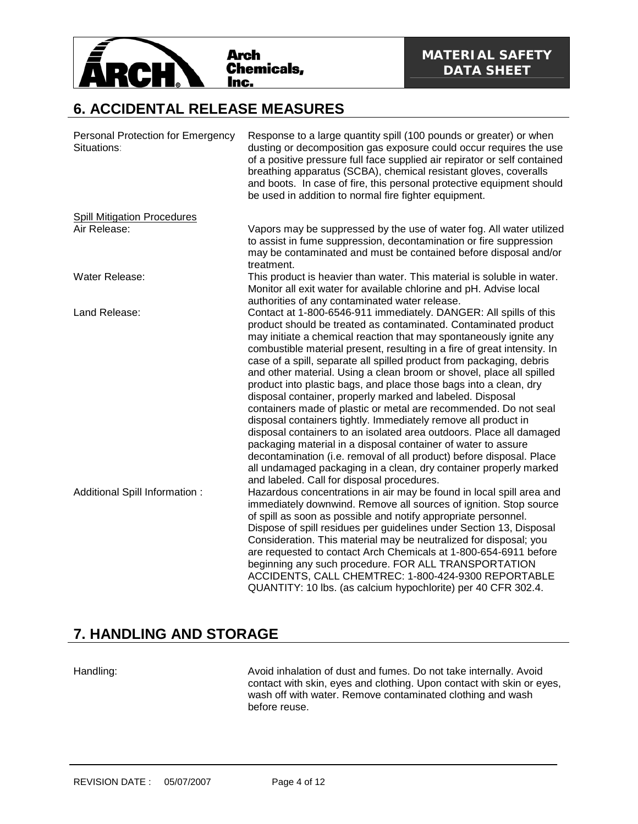

#### **6. ACCIDENTAL RELEASE MEASURES**

| Personal Protection for Emergency<br>Situations: | Response to a large quantity spill (100 pounds or greater) or when<br>dusting or decomposition gas exposure could occur requires the use<br>of a positive pressure full face supplied air repirator or self contained<br>breathing apparatus (SCBA), chemical resistant gloves, coveralls<br>and boots. In case of fire, this personal protective equipment should<br>be used in addition to normal fire fighter equipment.                                                                                                                                                                                                                                                                                                                                                                                                                                                                                                                                                                                                                       |
|--------------------------------------------------|---------------------------------------------------------------------------------------------------------------------------------------------------------------------------------------------------------------------------------------------------------------------------------------------------------------------------------------------------------------------------------------------------------------------------------------------------------------------------------------------------------------------------------------------------------------------------------------------------------------------------------------------------------------------------------------------------------------------------------------------------------------------------------------------------------------------------------------------------------------------------------------------------------------------------------------------------------------------------------------------------------------------------------------------------|
| <b>Spill Mitigation Procedures</b>               |                                                                                                                                                                                                                                                                                                                                                                                                                                                                                                                                                                                                                                                                                                                                                                                                                                                                                                                                                                                                                                                   |
| Air Release:                                     | Vapors may be suppressed by the use of water fog. All water utilized<br>to assist in fume suppression, decontamination or fire suppression<br>may be contaminated and must be contained before disposal and/or<br>treatment.                                                                                                                                                                                                                                                                                                                                                                                                                                                                                                                                                                                                                                                                                                                                                                                                                      |
| Water Release:                                   | This product is heavier than water. This material is soluble in water.<br>Monitor all exit water for available chlorine and pH. Advise local<br>authorities of any contaminated water release.                                                                                                                                                                                                                                                                                                                                                                                                                                                                                                                                                                                                                                                                                                                                                                                                                                                    |
| Land Release:                                    | Contact at 1-800-6546-911 immediately. DANGER: All spills of this<br>product should be treated as contaminated. Contaminated product<br>may initiate a chemical reaction that may spontaneously ignite any<br>combustible material present, resulting in a fire of great intensity. In<br>case of a spill, separate all spilled product from packaging, debris<br>and other material. Using a clean broom or shovel, place all spilled<br>product into plastic bags, and place those bags into a clean, dry<br>disposal container, properly marked and labeled. Disposal<br>containers made of plastic or metal are recommended. Do not seal<br>disposal containers tightly. Immediately remove all product in<br>disposal containers to an isolated area outdoors. Place all damaged<br>packaging material in a disposal container of water to assure<br>decontamination (i.e. removal of all product) before disposal. Place<br>all undamaged packaging in a clean, dry container properly marked<br>and labeled. Call for disposal procedures. |
| Additional Spill Information :                   | Hazardous concentrations in air may be found in local spill area and<br>immediately downwind. Remove all sources of ignition. Stop source<br>of spill as soon as possible and notify appropriate personnel.<br>Dispose of spill residues per guidelines under Section 13, Disposal<br>Consideration. This material may be neutralized for disposal; you<br>are requested to contact Arch Chemicals at 1-800-654-6911 before<br>beginning any such procedure. FOR ALL TRANSPORTATION<br>ACCIDENTS, CALL CHEMTREC: 1-800-424-9300 REPORTABLE<br>QUANTITY: 10 lbs. (as calcium hypochlorite) per 40 CFR 302.4.                                                                                                                                                                                                                                                                                                                                                                                                                                       |

## **7. HANDLING AND STORAGE**

Handling: **Avoid inhalation of dust and fumes. Do not take internally. Avoid inhalation of dust and fumes. Do not take internally. Avoid** contact with skin, eyes and clothing. Upon contact with skin or eyes, wash off with water. Remove contaminated clothing and wash before reuse.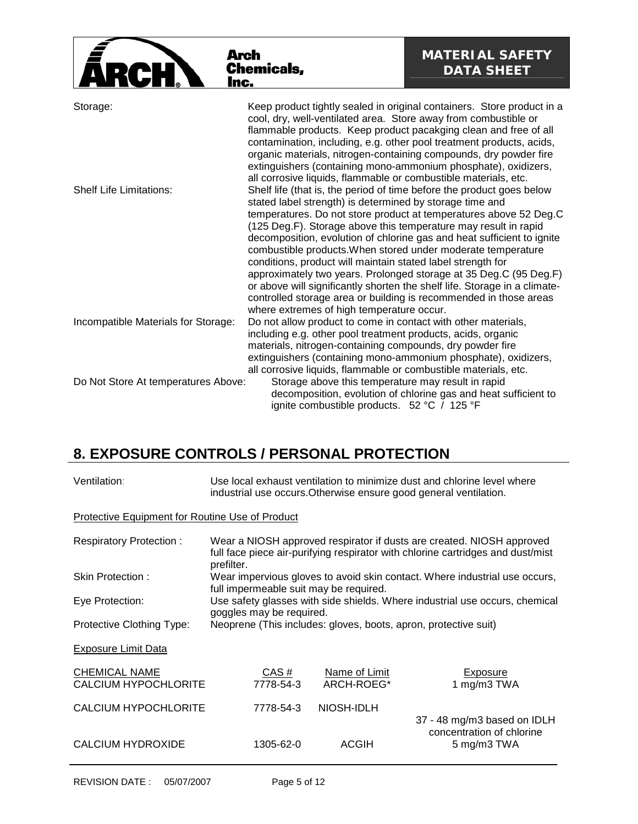| Arch<br>Inc.                               | <b>Chemicals,</b>                                                                                                                                                                                                                                                                                                                                                                                                                                                                                                                   | <b>MATERIAL SAFETY</b><br><b>DATA SHEET</b>                                                                                            |
|--------------------------------------------|-------------------------------------------------------------------------------------------------------------------------------------------------------------------------------------------------------------------------------------------------------------------------------------------------------------------------------------------------------------------------------------------------------------------------------------------------------------------------------------------------------------------------------------|----------------------------------------------------------------------------------------------------------------------------------------|
| Storage:<br><b>Shelf Life Limitations:</b> | cool, dry, well-ventilated area. Store away from combustible or<br>flammable products. Keep product pacakging clean and free of all<br>contamination, including, e.g. other pool treatment products, acids,<br>organic materials, nitrogen-containing compounds, dry powder fire<br>extinguishers (containing mono-ammonium phosphate), oxidizers,<br>all corrosive liquids, flammable or combustible materials, etc.<br>Shelf life (that is, the period of time before the product goes below                                      | Keep product tightly sealed in original containers. Store product in a                                                                 |
|                                            | stated label strength) is determined by storage time and<br>(125 Deg.F). Storage above this temperature may result in rapid<br>decomposition, evolution of chlorine gas and heat sufficient to ignite<br>combustible products. When stored under moderate temperature<br>conditions, product will maintain stated label strength for<br>or above will significantly shorten the shelf life. Storage in a climate-<br>controlled storage area or building is recommended in those areas<br>where extremes of high temperature occur. | temperatures. Do not store product at temperatures above 52 Deg.C<br>approximately two years. Prolonged storage at 35 Deg.C (95 Deg.F) |
| Incompatible Materials for Storage:        | Do not allow product to come in contact with other materials,<br>including e.g. other pool treatment products, acids, organic<br>materials, nitrogen-containing compounds, dry powder fire<br>extinguishers (containing mono-ammonium phosphate), oxidizers,<br>all corrosive liquids, flammable or combustible materials, etc.                                                                                                                                                                                                     |                                                                                                                                        |
| Do Not Store At temperatures Above:        | Storage above this temperature may result in rapid<br>ignite combustible products. 52 °C / 125 °F                                                                                                                                                                                                                                                                                                                                                                                                                                   | decomposition, evolution of chlorine gas and heat sufficient to                                                                        |

# **8. EXPOSURE CONTROLS / PERSONAL PROTECTION**

| Ventilation:                                        | Use local exhaust ventilation to minimize dust and chlorine level where<br>industrial use occurs. Otherwise ensure good general ventilation. |                             |                                                                                                                                                          |  |
|-----------------------------------------------------|----------------------------------------------------------------------------------------------------------------------------------------------|-----------------------------|----------------------------------------------------------------------------------------------------------------------------------------------------------|--|
| Protective Equipment for Routine Use of Product     |                                                                                                                                              |                             |                                                                                                                                                          |  |
| <b>Respiratory Protection:</b>                      | prefilter.                                                                                                                                   |                             | Wear a NIOSH approved respirator if dusts are created. NIOSH approved<br>full face piece air-purifying respirator with chlorine cartridges and dust/mist |  |
| Skin Protection:                                    | full impermeable suit may be required.                                                                                                       |                             | Wear impervious gloves to avoid skin contact. Where industrial use occurs,                                                                               |  |
| Eye Protection:                                     |                                                                                                                                              |                             | Use safety glasses with side shields. Where industrial use occurs, chemical                                                                              |  |
| Protective Clothing Type:                           | goggles may be required.                                                                                                                     |                             | Neoprene (This includes: gloves, boots, apron, protective suit)                                                                                          |  |
| <b>Exposure Limit Data</b>                          |                                                                                                                                              |                             |                                                                                                                                                          |  |
| <b>CHEMICAL NAME</b><br><b>CALCIUM HYPOCHLORITE</b> | CAS#<br>7778-54-3                                                                                                                            | Name of Limit<br>ARCH-ROEG* | Exposure<br>1 mg/m3 TWA                                                                                                                                  |  |
| <b>CALCIUM HYPOCHLORITE</b>                         | 7778-54-3                                                                                                                                    | NIOSH-IDLH                  |                                                                                                                                                          |  |
| <b>CALCIUM HYDROXIDE</b>                            | 1305-62-0                                                                                                                                    | <b>ACGIH</b>                | 37 - 48 mg/m3 based on IDLH<br>concentration of chlorine<br>5 mg/m3 TWA                                                                                  |  |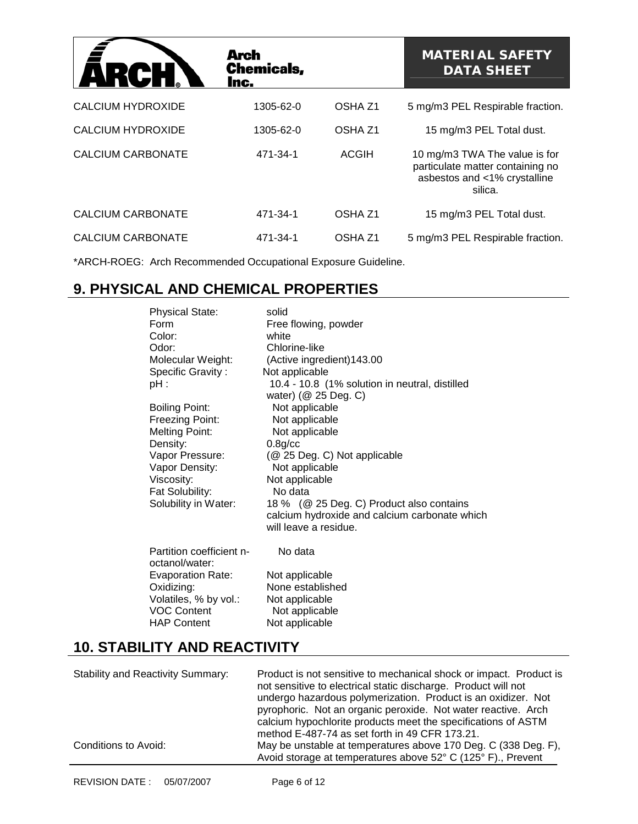| ARC                      | Arch<br><b>Chemicals,</b><br>Inc. |                    | <b>MATERIAL SAFETY</b><br><b>DATA SHEET</b>                                                                  |
|--------------------------|-----------------------------------|--------------------|--------------------------------------------------------------------------------------------------------------|
| <b>CALCIUM HYDROXIDE</b> | 1305-62-0                         | OSHA <sub>Z1</sub> | 5 mg/m3 PEL Respirable fraction.                                                                             |
| CALCIUM HYDROXIDE        | 1305-62-0                         | OSHA <sub>Z1</sub> | 15 mg/m3 PEL Total dust.                                                                                     |
| CALCIUM CARBONATE        | 471-34-1                          | ACGIH              | 10 mg/m3 TWA The value is for<br>particulate matter containing no<br>asbestos and <1% crystalline<br>silica. |
| <b>CALCIUM CARBONATE</b> | 471-34-1                          | OSHA <sub>Z1</sub> | 15 mg/m3 PEL Total dust.                                                                                     |
| <b>CALCIUM CARBONATE</b> | 471-34-1                          | OSHA <sub>Z1</sub> | 5 mg/m3 PEL Respirable fraction.                                                                             |

\*ARCH-ROEG: Arch Recommended Occupational Exposure Guideline.

## **9. PHYSICAL AND CHEMICAL PROPERTIES**

| <b>Physical State:</b><br>Form<br>Color:<br>Odor:<br>Molecular Weight:<br>Specific Gravity:<br>pH :<br><b>Boiling Point:</b><br>Freezing Point:<br><b>Melting Point:</b><br>Density:<br>Vapor Pressure:<br>Vapor Density:<br>Viscosity:<br>Fat Solubility:<br>Solubility in Water: | solid<br>Free flowing, powder<br>white<br>Chlorine-like<br>(Active ingredient) 143.00<br>Not applicable<br>10.4 - 10.8 (1% solution in neutral, distilled<br>water) (@ 25 Deg. C)<br>Not applicable<br>Not applicable<br>Not applicable<br>$0.8$ g/cc<br>(@ 25 Deg. C) Not applicable<br>Not applicable<br>Not applicable<br>No data<br>18 % (@ 25 Deg. C) Product also contains<br>calcium hydroxide and calcium carbonate which<br>will leave a residue. |
|------------------------------------------------------------------------------------------------------------------------------------------------------------------------------------------------------------------------------------------------------------------------------------|------------------------------------------------------------------------------------------------------------------------------------------------------------------------------------------------------------------------------------------------------------------------------------------------------------------------------------------------------------------------------------------------------------------------------------------------------------|
| Partition coefficient n-<br>octanol/water:<br><b>Evaporation Rate:</b><br>Oxidizing:<br>Volatiles, % by vol.:<br><b>VOC Content</b><br><b>HAP Content</b>                                                                                                                          | No data<br>Not applicable<br>None established<br>Not applicable<br>Not applicable<br>Not applicable                                                                                                                                                                                                                                                                                                                                                        |

## **10. STABILITY AND REACTIVITY**

| <b>Stability and Reactivity Summary:</b> | Product is not sensitive to mechanical shock or impact. Product is<br>not sensitive to electrical static discharge. Product will not<br>undergo hazardous polymerization. Product is an oxidizer. Not<br>pyrophoric. Not an organic peroxide. Not water reactive. Arch<br>calcium hypochlorite products meet the specifications of ASTM<br>method E-487-74 as set forth in 49 CFR 173.21. |
|------------------------------------------|-------------------------------------------------------------------------------------------------------------------------------------------------------------------------------------------------------------------------------------------------------------------------------------------------------------------------------------------------------------------------------------------|
| Conditions to Avoid:                     | May be unstable at temperatures above 170 Deg. C (338 Deg. F),<br>Avoid storage at temperatures above 52° C (125° F)., Prevent                                                                                                                                                                                                                                                            |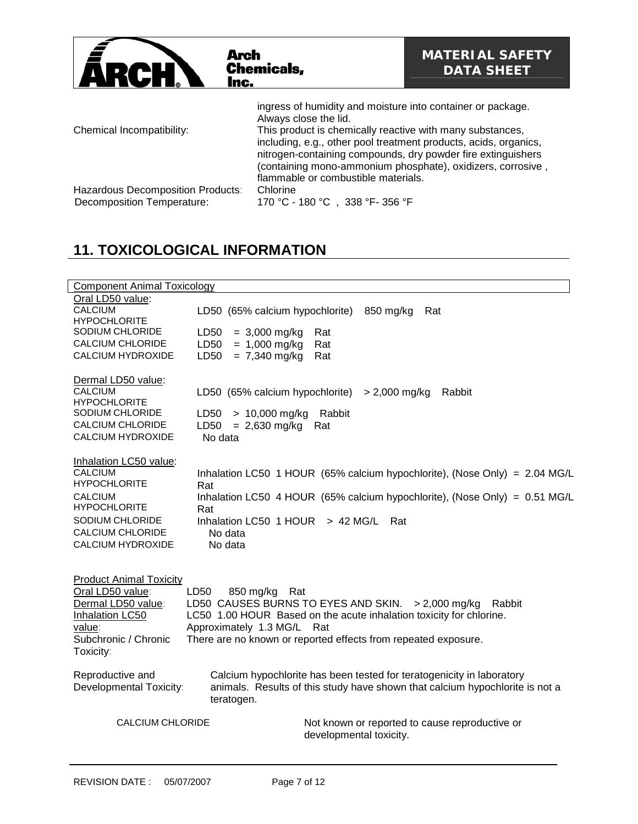| Arch<br>ARCH I<br>Inc.                                                 | <b>Chemicals,</b>                                                                                                                                                                                                                                                                                                                                                                           | <b>MATERIAL SAFETY</b><br><b>DATA SHEET</b> |
|------------------------------------------------------------------------|---------------------------------------------------------------------------------------------------------------------------------------------------------------------------------------------------------------------------------------------------------------------------------------------------------------------------------------------------------------------------------------------|---------------------------------------------|
| Chemical Incompatibility:                                              | ingress of humidity and moisture into container or package.<br>Always close the lid.<br>This product is chemically reactive with many substances,<br>including, e.g., other pool treatment products, acids, organics,<br>nitrogen-containing compounds, dry powder fire extinguishers<br>(containing mono-ammonium phosphate), oxidizers, corrosive,<br>flammable or combustible materials. |                                             |
| Hazardous Decomposition Products:<br><b>Decomposition Temperature:</b> | Chlorine<br>170 °C - 180 °C, 338 °F-356 °F                                                                                                                                                                                                                                                                                                                                                  |                                             |

# **11. TOXICOLOGICAL INFORMATION**

| <b>Component Animal Toxicology</b>                                                                                                                                                                                                                                                                                                                                                                                          |                                                                                                                                                                                                                                             |  |  |  |
|-----------------------------------------------------------------------------------------------------------------------------------------------------------------------------------------------------------------------------------------------------------------------------------------------------------------------------------------------------------------------------------------------------------------------------|---------------------------------------------------------------------------------------------------------------------------------------------------------------------------------------------------------------------------------------------|--|--|--|
| Oral LD50 value:<br><b>CALCIUM</b><br><b>HYPOCHLORITE</b><br>SODIUM CHLORIDE<br><b>CALCIUM CHLORIDE</b><br><b>CALCIUM HYDROXIDE</b>                                                                                                                                                                                                                                                                                         | 850 mg/kg<br>LD50 (65% calcium hypochlorite)<br>Rat<br>$= 3,000$ mg/kg<br>LD50<br>Rat<br>$= 1,000$ mg/kg<br>LD50<br>Rat<br>$= 7,340$ mg/kg<br>LD50<br>Rat                                                                                   |  |  |  |
| Dermal LD50 value:<br><b>CALCIUM</b><br><b>HYPOCHLORITE</b><br>SODIUM CHLORIDE<br><b>CALCIUM CHLORIDE</b><br><b>CALCIUM HYDROXIDE</b>                                                                                                                                                                                                                                                                                       | LD50 (65% calcium hypochlorite)<br>$> 2,000$ mg/kg<br>Rabbit<br>LD50<br>$> 10,000$ mg/kg<br>Rabbit<br>$= 2,630$ mg/kg<br>LD50<br>Rat<br>No data                                                                                             |  |  |  |
| Inhalation LC50 value:<br><b>CALCIUM</b><br><b>HYPOCHLORITE</b><br><b>CALCIUM</b><br><b>HYPOCHLORITE</b><br>SODIUM CHLORIDE<br><b>CALCIUM CHLORIDE</b><br><b>CALCIUM HYDROXIDE</b>                                                                                                                                                                                                                                          | Inhalation LC50 1 HOUR (65% calcium hypochlorite), (Nose Only) = 2.04 MG/L<br>Rat<br>Inhalation LC50 4 HOUR (65% calcium hypochlorite), (Nose Only) = $0.51$ MG/L<br>Rat<br>Inhalation LC50 $1$ HOUR > 42 MG/L<br>Rat<br>No data<br>No data |  |  |  |
| <b>Product Animal Toxicity</b><br>Oral LD50 value:<br>LD50<br>850 mg/kg<br>Rat<br>Dermal LD50 value:<br>LD50 CAUSES BURNS TO EYES AND SKIN.<br>$> 2,000$ mg/kg<br>Rabbit<br>LC50 1.00 HOUR Based on the acute inhalation toxicity for chlorine.<br><b>Inhalation LC50</b><br>Approximately 1.3 MG/L<br>value:<br>Rat<br>Subchronic / Chronic<br>There are no known or reported effects from repeated exposure.<br>Toxicity: |                                                                                                                                                                                                                                             |  |  |  |
| Reproductive and<br>Developmental Toxicity:                                                                                                                                                                                                                                                                                                                                                                                 | Calcium hypochlorite has been tested for teratogenicity in laboratory<br>animals. Results of this study have shown that calcium hypochlorite is not a<br>teratogen.                                                                         |  |  |  |
| <b>CALCIUM CHLORIDE</b>                                                                                                                                                                                                                                                                                                                                                                                                     | Not known or reported to cause reproductive or<br>developmental toxicity.                                                                                                                                                                   |  |  |  |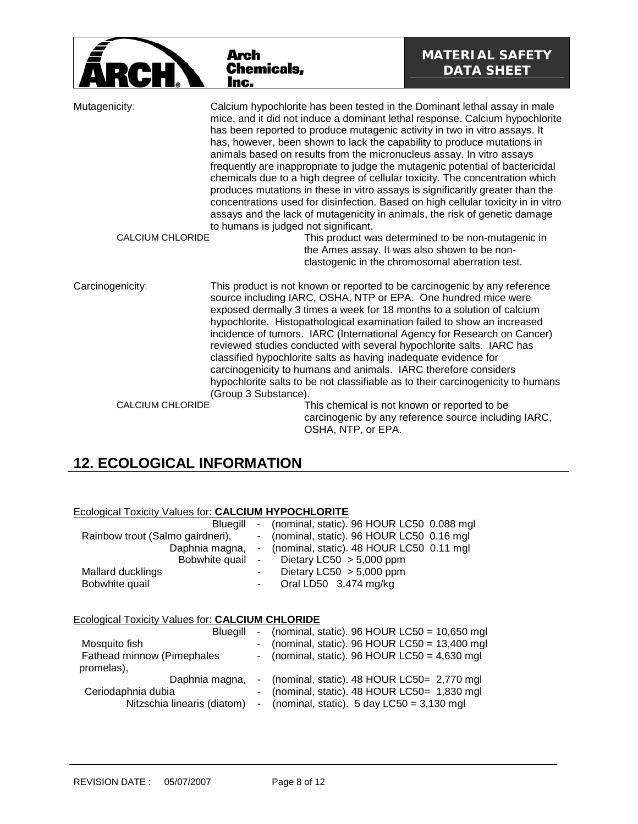|                                          | Arch<br><b>Chemicals,</b><br>Inc.                                                                                                                                                                                                                                                                                                                                                                                                                                                                                                                                                                                                                                                                                                                                                                                                                        | <b>MATERIAL SAFETY</b><br><b>DATA SHEET</b>                                                                                                           |
|------------------------------------------|----------------------------------------------------------------------------------------------------------------------------------------------------------------------------------------------------------------------------------------------------------------------------------------------------------------------------------------------------------------------------------------------------------------------------------------------------------------------------------------------------------------------------------------------------------------------------------------------------------------------------------------------------------------------------------------------------------------------------------------------------------------------------------------------------------------------------------------------------------|-------------------------------------------------------------------------------------------------------------------------------------------------------|
| Mutagenicity:<br><b>CALCIUM CHLORIDE</b> | Calcium hypochlorite has been tested in the Dominant lethal assay in male<br>mice, and it did not induce a dominant lethal response. Calcium hypochlorite<br>has been reported to produce mutagenic activity in two in vitro assays. It<br>has, however, been shown to lack the capability to produce mutations in<br>animals based on results from the micronucleus assay. In vitro assays<br>frequently are inappropriate to judge the mutagenic potential of bactericidal<br>chemicals due to a high degree of cellular toxicity. The concentration which<br>produces mutations in these in vitro assays is significantly greater than the<br>concentrations used for disinfection. Based on high cellular toxicity in in vitro<br>assays and the lack of mutagenicity in animals, the risk of genetic damage<br>to humans is judged not significant. | This product was determined to be non-mutagenic in<br>the Ames assay. It was also shown to be non-<br>clastogenic in the chromosomal aberration test. |
| Carcinogenicity:                         | This product is not known or reported to be carcinogenic by any reference<br>source including IARC, OSHA, NTP or EPA. One hundred mice were<br>exposed dermally 3 times a week for 18 months to a solution of calcium<br>hypochlorite. Histopathological examination failed to show an increased<br>incidence of tumors. IARC (International Agency for Research on Cancer)<br>reviewed studies conducted with several hypochlorite salts. IARC has<br>classified hypochlorite salts as having inadequate evidence for<br>carcinogenicity to humans and animals. IARC therefore considers<br>hypochlorite salts to be not classifiable as to their carcinogenicity to humans<br>(Group 3 Substance).                                                                                                                                                     |                                                                                                                                                       |
| <b>CALCIUM CHLORIDE</b>                  | OSHA, NTP, or EPA.                                                                                                                                                                                                                                                                                                                                                                                                                                                                                                                                                                                                                                                                                                                                                                                                                                       | This chemical is not known or reported to be<br>carcinogenic by any reference source including IARC,                                                  |

# **12. ECOLOGICAL INFORMATION**

| Ecological Toxicity Values for: CALCIUM HYPOCHLORITE |  |
|------------------------------------------------------|--|
|                                                      |  |

| Bluegill                         |        | - (nominal, static). 96 HOUR LC50 0.088 mgl               |
|----------------------------------|--------|-----------------------------------------------------------|
| Rainbow trout (Salmo gairdneri), |        | - (nominal, static). 96 HOUR LC50 0.16 mgl                |
|                                  |        | Daphnia magna, - (nominal, static). 48 HOUR LC50 0.11 mgl |
|                                  |        | Bobwhite quail - Dietary LC50 > 5,000 ppm                 |
| Mallard ducklings                | $\sim$ | Dietary LC50 $> 5,000$ ppm                                |
| Bobwhite quail                   | $\sim$ | Oral LD50 3,474 mg/kg                                     |

#### Ecological Toxicity Values for: **CALCIUM CHLORIDE**

| Blueaill                    |  | - (nominal, static). $96$ HOUR LC50 = 10,650 mgl       |
|-----------------------------|--|--------------------------------------------------------|
| Mosquito fish               |  | - (nominal, static). $96$ HOUR LC50 = 13,400 mgl       |
| Fathead minnow (Pimephales  |  | - (nominal, static). 96 HOUR LC50 = $4,630$ mgl        |
| promelas),                  |  |                                                        |
| Daphnia magna,              |  | - (nominal, static). 48 HOUR LC50= 2,770 mgl           |
| Ceriodaphnia dubia          |  | - (nominal, static). 48 HOUR LC50= 1,830 mgl           |
| Nitzschia linearis (diatom) |  | - (nominal, static). $5 \text{ day }$ LC50 = 3,130 mgl |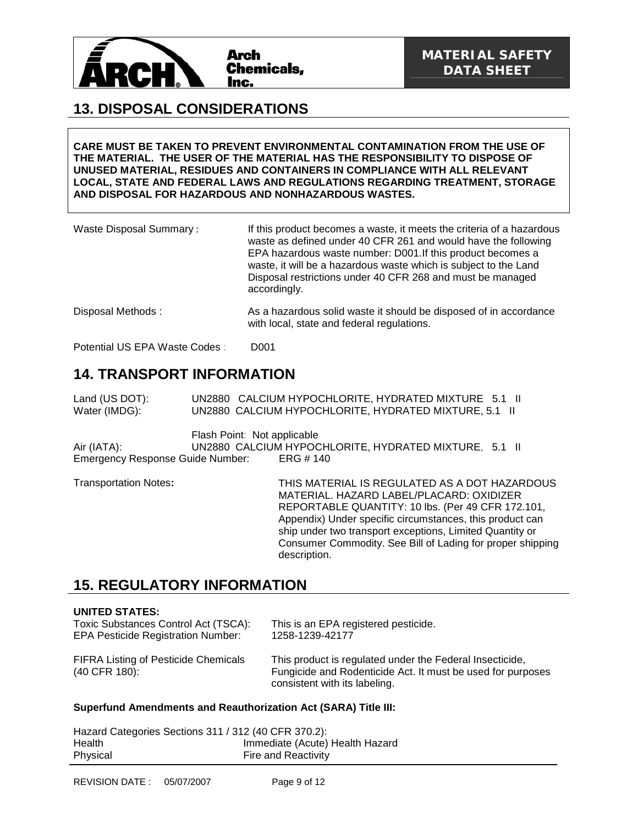

### **13. DISPOSAL CONSIDERATIONS**

**CARE MUST BE TAKEN TO PREVENT ENVIRONMENTAL CONTAMINATION FROM THE USE OF THE MATERIAL. THE USER OF THE MATERIAL HAS THE RESPONSIBILITY TO DISPOSE OF UNUSED MATERIAL, RESIDUES AND CONTAINERS IN COMPLIANCE WITH ALL RELEVANT LOCAL, STATE AND FEDERAL LAWS AND REGULATIONS REGARDING TREATMENT, STORAGE AND DISPOSAL FOR HAZARDOUS AND NONHAZARDOUS WASTES.** 

| Waste Disposal Summary: | If this product becomes a waste, it meets the criteria of a hazardous<br>waste as defined under 40 CFR 261 and would have the following<br>EPA hazardous waste number: D001. If this product becomes a<br>waste, it will be a hazardous waste which is subject to the Land<br>Disposal restrictions under 40 CFR 268 and must be managed<br>accordingly. |
|-------------------------|----------------------------------------------------------------------------------------------------------------------------------------------------------------------------------------------------------------------------------------------------------------------------------------------------------------------------------------------------------|
| Disposal Methods:       | As a hazardous solid waste it should be disposed of in accordance<br>with local, state and federal regulations.                                                                                                                                                                                                                                          |

Potential US EPA Waste Codes : D001

### **14. TRANSPORT INFORMATION**

Land (US DOT): UN2880 CALCIUM HYPOCHLORITE, HYDRATED MIXTURE 5.1 II Water (IMDG): UN2880 CALCIUM HYPOCHLORITE, HYDRATED MIXTURE, 5.1 II

Flash Point: Not applicable

Air (IATA): UN2880 CALCIUM HYPOCHLORITE, HYDRATED MIXTURE, 5.1 II Emergency Response Guide Number: ERG # 140

Transportation Notes**:** THIS MATERIAL IS REGULATED AS A DOT HAZARDOUS MATERIAL. HAZARD LABEL/PLACARD: OXIDIZER REPORTABLE QUANTITY: 10 lbs. (Per 49 CFR 172.101, Appendix) Under specific circumstances, this product can ship under two transport exceptions, Limited Quantity or Consumer Commodity. See Bill of Lading for proper shipping description.

### **15. REGULATORY INFORMATION**

#### **UNITED STATES:**

| Toxic Substances Control Act (TSCA):                         | This is an EPA registered pesticide.                                                                                                                     |
|--------------------------------------------------------------|----------------------------------------------------------------------------------------------------------------------------------------------------------|
| <b>EPA Pesticide Registration Number:</b>                    | 1258-1239-42177                                                                                                                                          |
| <b>FIFRA Listing of Pesticide Chemicals</b><br>(40 CFR 180): | This product is regulated under the Federal Insecticide,<br>Fungicide and Rodenticide Act. It must be used for purposes<br>consistent with its labeling. |

#### **Superfund Amendments and Reauthorization Act (SARA) Title III:**

| Hazard Categories Sections 311 / 312 (40 CFR 370.2): |                                 |
|------------------------------------------------------|---------------------------------|
| Health                                               | Immediate (Acute) Health Hazard |
| Physical                                             | <b>Fire and Reactivity</b>      |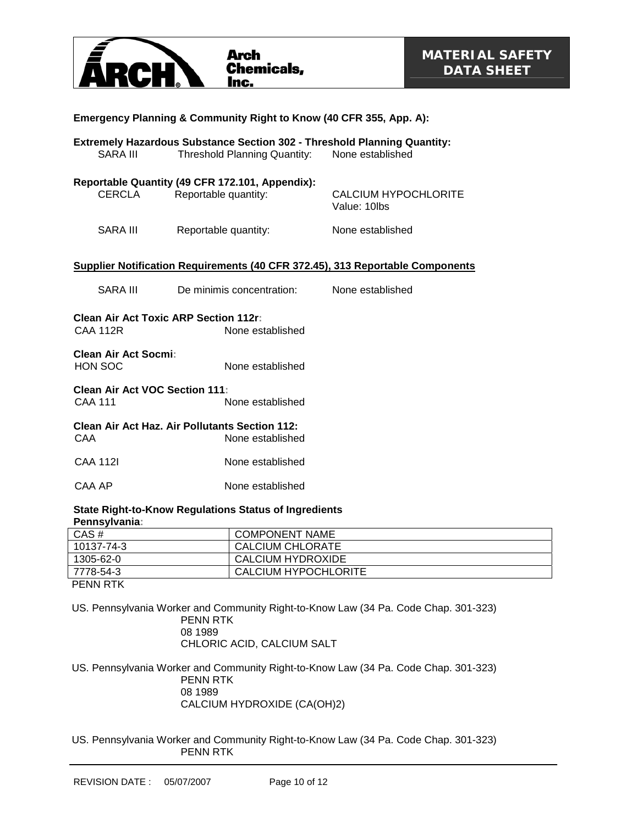

| Emergency Planning & Community Right to Know (40 CFR 355, App. A):                                                                                            |                           |                                             |  |  |
|---------------------------------------------------------------------------------------------------------------------------------------------------------------|---------------------------|---------------------------------------------|--|--|
| <b>Extremely Hazardous Substance Section 302 - Threshold Planning Quantity:</b><br>None established<br><b>SARA III</b><br><b>Threshold Planning Quantity:</b> |                           |                                             |  |  |
| Reportable Quantity (49 CFR 172.101, Appendix):<br>CERCLA<br>Reportable quantity:                                                                             |                           | <b>CALCIUM HYPOCHLORITE</b><br>Value: 10lbs |  |  |
| SARA III                                                                                                                                                      | Reportable quantity:      | None established                            |  |  |
| Supplier Notification Requirements (40 CFR 372.45), 313 Reportable Components                                                                                 |                           |                                             |  |  |
| SARA III                                                                                                                                                      | De minimis concentration: | None established                            |  |  |
| <b>Clean Air Act Toxic ARP Section 112r:</b><br><b>CAA 112R</b><br>None established                                                                           |                           |                                             |  |  |
| Clean Air Act Socmi:<br>HON SOC<br>None established                                                                                                           |                           |                                             |  |  |
| Clean Air Act VOC Section 111:<br><b>CAA 111</b><br>None established                                                                                          |                           |                                             |  |  |
| <b>Clean Air Act Haz. Air Pollutants Section 112:</b><br><b>CAA</b><br>None established                                                                       |                           |                                             |  |  |
| <b>CAA 112I</b>                                                                                                                                               | None established          |                                             |  |  |
| CAA AP<br>None established                                                                                                                                    |                           |                                             |  |  |
| <b>State Right-to-Know Regulations Status of Ingredients</b>                                                                                                  |                           |                                             |  |  |

#### **State Right-to-Know Regulations Status of Ingredients Pennsylvania:**

| CAS#       | <b>COMPONENT NAME</b>    |
|------------|--------------------------|
| 10137-74-3 | CALCIUM CHLORATE         |
| 1305-62-0  | <b>CALCIUM HYDROXIDE</b> |
| 7778-54-3  | CALCIUM HYPOCHLORITE     |
| ---------  |                          |

PENN RTK

US. Pennsylvania Worker and Community Right-to-Know Law (34 Pa. Code Chap. 301-323) PENN RTK 08 1989 CHLORIC ACID, CALCIUM SALT

US. Pennsylvania Worker and Community Right-to-Know Law (34 Pa. Code Chap. 301-323) PENN RTK 08 1989 CALCIUM HYDROXIDE (CA(OH)2)

US. Pennsylvania Worker and Community Right-to-Know Law (34 Pa. Code Chap. 301-323) PENN RTK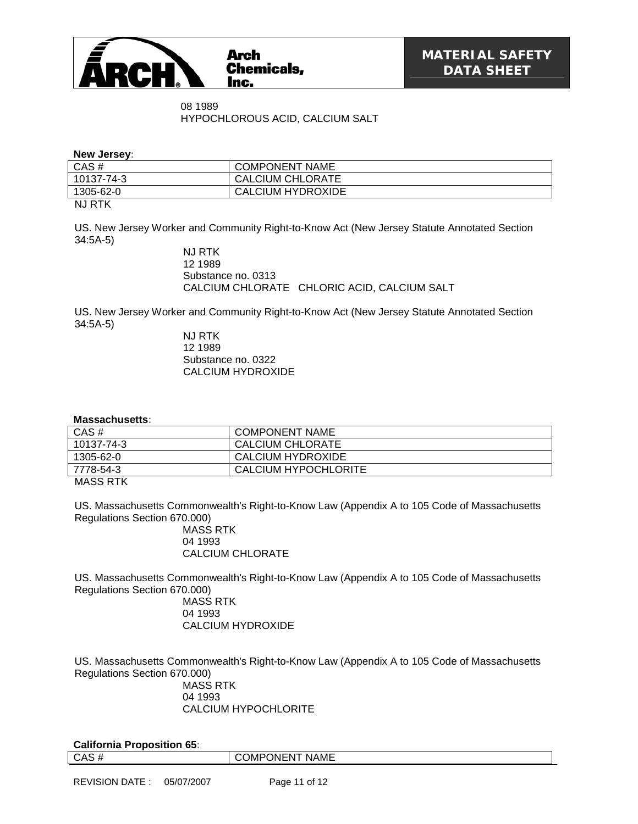

08 1989 HYPOCHLOROUS ACID, CALCIUM SALT

**New Jersey:**

| CAS#         | <b>COMPONENT NAME</b>    |
|--------------|--------------------------|
| 10137-74-3   | CALCIUM CHLORATE         |
| 1305-62-0    | <b>CALCIUM HYDROXIDE</b> |
| . <u>.</u> . |                          |

NJ RTK

US. New Jersey Worker and Community Right-to-Know Act (New Jersey Statute Annotated Section 34:5A-5)

> NJ RTK 12 1989 Substance no. 0313 CALCIUM CHLORATE CHLORIC ACID, CALCIUM SALT

US. New Jersey Worker and Community Right-to-Know Act (New Jersey Statute Annotated Section 34:5A-5)

NJ RTK 12 1989 Substance no. 0322 CALCIUM HYDROXIDE

#### **Massachusetts:**

| CAS#         | <b>COMPONENT NAME</b>   |
|--------------|-------------------------|
| 10137-74-3   | <b>CALCIUM CHLORATE</b> |
| 1305-62-0    | CALCIUM HYDROXIDE       |
| 7778-54-3    | CALCIUM HYPOCHLORITE    |
| . <b>. .</b> |                         |

MASS RTK

US. Massachusetts Commonwealth's Right-to-Know Law (Appendix A to 105 Code of Massachusetts Regulations Section 670.000)

MASS RTK 04 1993 CALCIUM CHLORATE

US. Massachusetts Commonwealth's Right-to-Know Law (Appendix A to 105 Code of Massachusetts Regulations Section 670.000)

MASS RTK 04 1993 CALCIUM HYDROXIDE

US. Massachusetts Commonwealth's Right-to-Know Law (Appendix A to 105 Code of Massachusetts Regulations Section 670.000)

MASS RTK 04 1993 CALCIUM HYPOCHLORITE

| <b>California Proposition 65:</b> |                |
|-----------------------------------|----------------|
| CAS#                              | COMPONENT NAME |